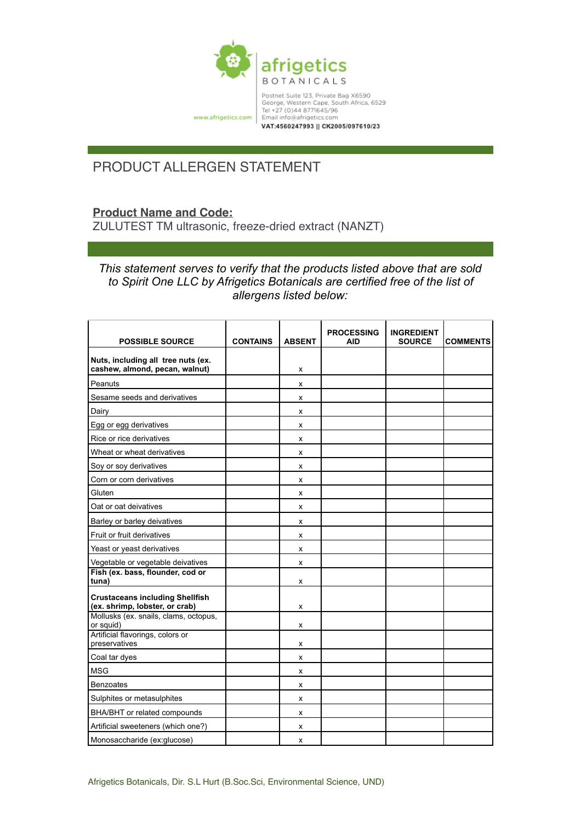

## PRODUCT ALLERGEN STATEMENT

## **Product Name and Code:**

ZULUTEST TM ultrasonic, freeze-dried extract (NANZT)

## *This statement serves to verify that the products listed above that are sold to Spirit One LLC by Afrigetics Botanicals are certified free of the list of allergens listed below:*

| <b>POSSIBLE SOURCE</b>                                                   | <b>CONTAINS</b> | <b>ABSENT</b> | <b>PROCESSING</b><br><b>AID</b> | <b>INGREDIENT</b><br><b>SOURCE</b> | <b>COMMENTS</b> |
|--------------------------------------------------------------------------|-----------------|---------------|---------------------------------|------------------------------------|-----------------|
| Nuts, including all tree nuts (ex.<br>cashew, almond, pecan, walnut)     |                 | х             |                                 |                                    |                 |
| Peanuts                                                                  |                 | x             |                                 |                                    |                 |
| Sesame seeds and derivatives                                             |                 | x             |                                 |                                    |                 |
| Dairy                                                                    |                 | x             |                                 |                                    |                 |
| Egg or egg derivatives                                                   |                 | x             |                                 |                                    |                 |
| Rice or rice derivatives                                                 |                 | x             |                                 |                                    |                 |
| Wheat or wheat derivatives                                               |                 | x             |                                 |                                    |                 |
| Soy or soy derivatives                                                   |                 | x             |                                 |                                    |                 |
| Corn or corn derivatives                                                 |                 | x             |                                 |                                    |                 |
| Gluten                                                                   |                 | x             |                                 |                                    |                 |
| Oat or oat deivatives                                                    |                 | x             |                                 |                                    |                 |
| Barley or barley deivatives                                              |                 | x             |                                 |                                    |                 |
| Fruit or fruit derivatives                                               |                 | x             |                                 |                                    |                 |
| Yeast or yeast derivatives                                               |                 | x             |                                 |                                    |                 |
| Vegetable or vegetable deivatives                                        |                 | x             |                                 |                                    |                 |
| Fish (ex. bass, flounder, cod or<br>tuna)                                |                 | x             |                                 |                                    |                 |
| <b>Crustaceans including Shellfish</b><br>(ex. shrimp, lobster, or crab) |                 | x             |                                 |                                    |                 |
| Mollusks (ex. snails, clams, octopus,<br>or squid)                       |                 | x             |                                 |                                    |                 |
| Artificial flavorings, colors or<br>preservatives                        |                 | x             |                                 |                                    |                 |
| Coal tar dyes                                                            |                 | x             |                                 |                                    |                 |
| <b>MSG</b>                                                               |                 | х             |                                 |                                    |                 |
| <b>Benzoates</b>                                                         |                 | x             |                                 |                                    |                 |
| Sulphites or metasulphites                                               |                 | x             |                                 |                                    |                 |
| BHA/BHT or related compounds                                             |                 | x             |                                 |                                    |                 |
| Artificial sweeteners (which one?)                                       |                 | x             |                                 |                                    |                 |
| Monosaccharide (ex:glucose)                                              |                 | x             |                                 |                                    |                 |